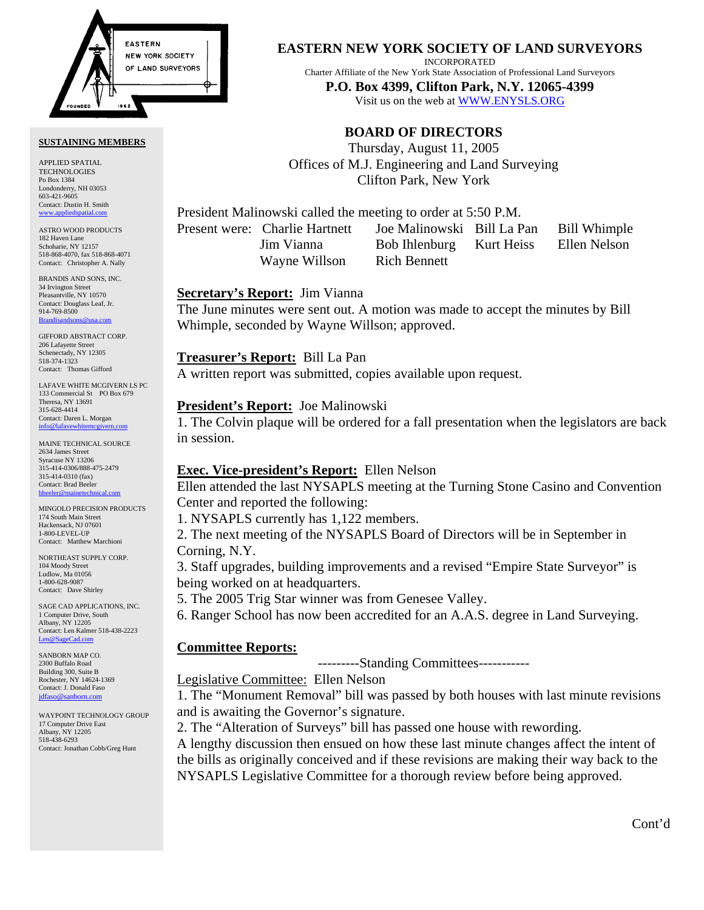

#### **SUSTAINING MEMBERS**

APPLIED SPATIAL TECHNOLOGIES Po Box 1384 Londonderry, NH 03053 603-421-9605 Contact: Dustin H. Smith <www.appliedspatial.com>

ASTRO WOOD PRODUCTS 182 Haven Lane Schoharie, NY 12157 518-868-4070, fax 518-868-4071 Contact: Christopher A. Nally

BRANDIS AND SONS, INC. 34 Irvington Street Pleasantville, NY 10570 Contact: Douglass Leaf, Jr. 914-769-8500 [Brandisandsons@usa.com](mailto:brandisandsons@usa.com)

GIFFORD ABSTRACT CORP. 206 Lafayette Stree Schenectady, NY 12305 518-374-1323 Contact: Thomas Gifford

LAFAVE WHITE MCGIVERN LS PC 133 Commercial St PO Box 679 Theresa, NY 13691 315-628-4414 Contact: Daren L. Morgan [info@lafavewhitemcgivern.com](mailto:info@lafavewhitemcgivern.com)

MAINE TECHNICAL SOURCE 2634 James Street Syracuse NY 13206 315-414-0306/888-475-2479 315-414-0310 (fax) Contact: Brad Beeler [bbeeler@mainetechnical.com](mailto:bbeeler@mainetechnical.com)

MINGOLO PRECISION PRODUCTS 174 South Main Street Hackensack, NJ 07601 1-800-LEVEL-UP Contact: Matthew Marchioni

NORTHEAST SUPPLY CORP. 104 Moody Street Ludlow, Ma 01056 1-800-628-9087 Contact: Dave Shirley

SAGE CAD APPLICATIONS, INC. 1 Computer Drive, South Albany, NY 12205 Contact: Len Kalmer 518-438-2223 [Len@SageCad.com](mailto:len@sagecad.com)

SANBORN MAP CO. 2300 Buffalo Road Building 300, Suite B Rochester, NY 14624-1369 Contact: J. Donald Faso [jdfaso@sanborn.com](mailto:jdfaso@sanborn.com)

WAYPOINT TECHNOLOGY GROUP 17 Computer Drive East Albany, NY 12205 518-438-6293 Contact: Jonathan Cobb/Greg Hunt

## **EASTERN NEW YORK SOCIETY OF LAND SURVEYORS**

INCORPORATED

Charter Affiliate of the New York State Association of Professional Land Surveyors

**P.O. Box 4399, Clifton Park, N.Y. 12065-4399**  Visit us on the web a[t WWW.ENYSLS.ORG](www.enysls.org)

# **BOARD OF DIRECTORS**

Thursday, August 11, 2005 Offices of M.J. Engineering and Land Surveying Clifton Park, New York

President Malinowski called the meeting to order at 5:50 P.M.

Wayne Willson Rich Bennett

Present were: Charlie Hartnett Joe Malinowski Bill La Pan Bill Whimple Jim Vianna Bob Ihlenburg Kurt Heiss Ellen Nelson

## **Secretary's Report:** Jim Vianna

The June minutes were sent out. A motion was made to accept the minutes by Bill Whimple, seconded by Wayne Willson; approved.

## **Treasurer's Report:** Bill La Pan

A written report was submitted, copies available upon request.

## **President's Report:** Joe Malinowski

1. The Colvin plaque will be ordered for a fall presentation when the legislators are back in session.

## **Exec. Vice-president's Report:** Ellen Nelson

Ellen attended the last NYSAPLS meeting at the Turning Stone Casino and Convention Center and reported the following:

1. NYSAPLS currently has 1,122 members.

2. The next meeting of the NYSAPLS Board of Directors will be in September in Corning, N.Y.

3. Staff upgrades, building improvements and a revised "Empire State Surveyor" is being worked on at headquarters.

5. The 2005 Trig Star winner was from Genesee Valley.

6. Ranger School has now been accredited for an A.A.S. degree in Land Surveying.

## **Committee Reports:**

---------Standing Committees-----------

Legislative Committee: Ellen Nelson

1. The "Monument Removal" bill was passed by both houses with last minute revisions and is awaiting the Governor's signature.

2. The "Alteration of Surveys" bill has passed one house with rewording.

A lengthy discussion then ensued on how these last minute changes affect the intent of the bills as originally conceived and if these revisions are making their way back to the NYSAPLS Legislative Committee for a thorough review before being approved.